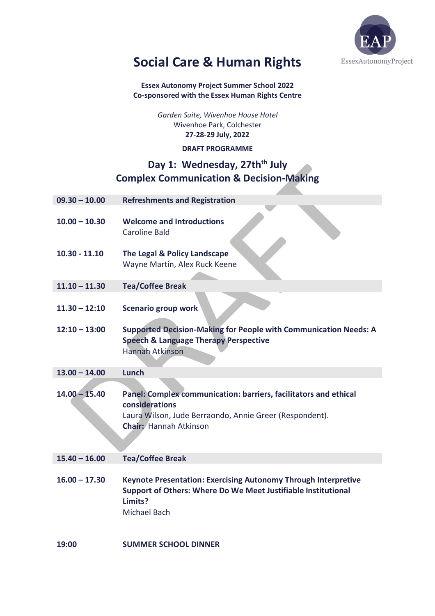

# **Social Care & Human Rights**

**Essex Autonomy Project Summer School 2022 Co-sponsored with the Essex Human Rights Centre** 

> *Garden Suite, Wivenhoe House Hotel* Wivenhoe Park, Colchester **27-28-29 July, 2022**

> > **DRAFT PROGRAMME**

### **Day 1: Wednesday, 27thth July Complex Communication & Decision-Making**

| $09.30 - 10.00$ | <b>Refreshments and Registration</b>                                                                                                                                           |
|-----------------|--------------------------------------------------------------------------------------------------------------------------------------------------------------------------------|
| $10.00 - 10.30$ | <b>Welcome and Introductions</b><br>Caroline Bald                                                                                                                              |
| $10.30 - 11.10$ | The Legal & Policy Landscape<br>Wayne Martin, Alex Ruck Keene                                                                                                                  |
| $11.10 - 11.30$ | <b>Tea/Coffee Break</b>                                                                                                                                                        |
| $11.30 - 12:10$ | <b>Scenario group work</b>                                                                                                                                                     |
| $12:10 - 13:00$ | <b>Supported Decision-Making for People with Communication Needs: A</b><br><b>Speech &amp; Language Therapy Perspective</b><br><b>Hannah Atkinson</b>                          |
| $13.00 - 14.00$ | Lunch                                                                                                                                                                          |
| $14.00 - 15.40$ | Panel: Complex communication: barriers, facilitators and ethical<br>considerations<br>Laura Wilson, Jude Berraondo, Annie Greer (Respondent).<br><b>Chair: Hannah Atkinson</b> |
| $15.40 - 16.00$ | <b>Tea/Coffee Break</b>                                                                                                                                                        |
| $16.00 - 17.30$ | Keynote Presentation: Exercising Autonomy Through Interpretive<br>Support of Others: Where Do We Meet Justifiable Institutional<br>Limits?<br>Michael Bach                     |
| 19:00           | <b>SUMMER SCHOOL DINNER</b>                                                                                                                                                    |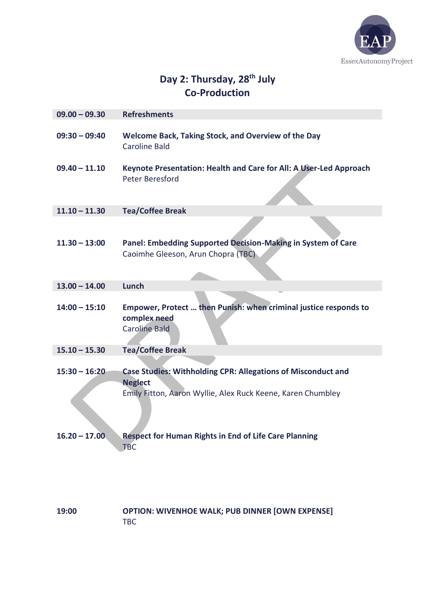

## **Day 2: Thursday, 28th July Co-Production**

| $09.00 - 09.30$ | <b>Refreshments</b>                                                                                                                           |
|-----------------|-----------------------------------------------------------------------------------------------------------------------------------------------|
| $09:30 - 09:40$ | Welcome Back, Taking Stock, and Overview of the Day<br><b>Caroline Bald</b>                                                                   |
| $09.40 - 11.10$ | Keynote Presentation: Health and Care for All: A User-Led Approach<br>Peter Beresford                                                         |
| $11.10 - 11.30$ | <b>Tea/Coffee Break</b>                                                                                                                       |
|                 |                                                                                                                                               |
| $11.30 - 13:00$ | Panel: Embedding Supported Decision-Making in System of Care<br>Caoimhe Gleeson, Arun Chopra (TBC)                                            |
| $13.00 - 14.00$ | <b>Lunch</b>                                                                                                                                  |
| $14:00 - 15:10$ | Empower, Protect  then Punish: when criminal justice responds to<br>complex need<br><b>Caroline Bald</b>                                      |
| $15.10 - 15.30$ | <b>Tea/Coffee Break</b>                                                                                                                       |
| $15:30 - 16:20$ | Case Studies: Withholding CPR: Allegations of Misconduct and<br><b>Neglect</b><br>Emily Fitton, Aaron Wyllie, Alex Ruck Keene, Karen Chumbley |
| 10.ZU – 17.UU   | <b>Respect for Human Rights in End of Life Care Planning</b><br><b>TBC</b>                                                                    |
| 19:00           | <b>OPTION: WIVENHOE WALK; PUB DINNER [OWN EXPENSE]</b>                                                                                        |

**UPTIO**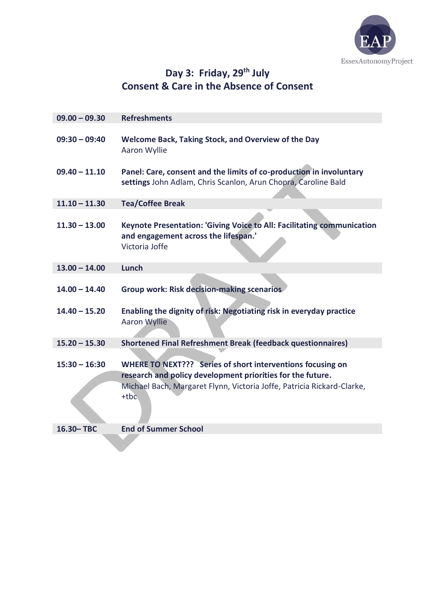

## **Day 3: Friday, 29th July Consent & Care in the Absence of Consent**

| $09.00 - 09.30$ | <b>Refreshments</b>                                                                                                                   |
|-----------------|---------------------------------------------------------------------------------------------------------------------------------------|
| $09:30 - 09:40$ | Welcome Back, Taking Stock, and Overview of the Day<br>Aaron Wyllie                                                                   |
| $09.40 - 11.10$ | Panel: Care, consent and the limits of co-production in involuntary<br>settings John Adlam, Chris Scanlon, Arun Chopra, Caroline Bald |
| $11.10 - 11.30$ | <b>Tea/Coffee Break</b>                                                                                                               |
|                 |                                                                                                                                       |
| $11.30 - 13.00$ | Keynote Presentation: 'Giving Voice to All: Facilitating communication<br>and engagement across the lifespan.'<br>Victoria Joffe      |
| $13.00 - 14.00$ | Lunch                                                                                                                                 |
|                 |                                                                                                                                       |
| $14.00 - 14.40$ | <b>Group work: Risk decision-making scenarios</b>                                                                                     |
| $14.40 - 15.20$ | Enabling the dignity of risk: Negotiating risk in everyday practice<br><b>Aaron Wyllie</b>                                            |
| $15.20 - 15.30$ | <b>Shortened Final Refreshment Break (feedback questionnaires)</b>                                                                    |
|                 |                                                                                                                                       |
| $15:30 - 16:30$ | WHERE TO NEXT??? Series of short interventions focusing on                                                                            |
|                 | research and policy development priorities for the future.                                                                            |
|                 | Michael Bach, Margaret Flynn, Victoria Joffe, Patricia Rickard-Clarke,<br>$+$ tbc                                                     |
| 16.30-TBC       | <b>End of Summer School</b>                                                                                                           |
|                 |                                                                                                                                       |

 $\mathbf{v}$